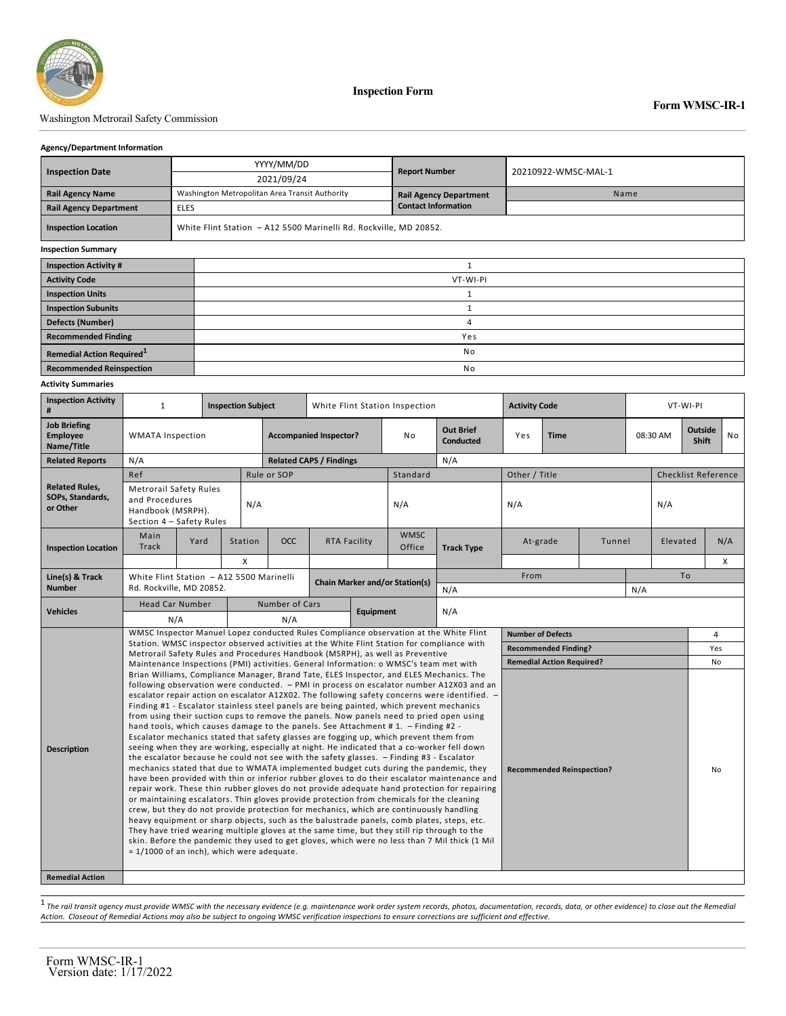

# Washington Metrorail Safety Commission

### **Agency/Department Information**

| <b>Inspection Date</b>                | YYYY/MM/DD                                                        | <b>Report Number</b>          |                     |  |  |  |  |  |  |
|---------------------------------------|-------------------------------------------------------------------|-------------------------------|---------------------|--|--|--|--|--|--|
|                                       | 2021/09/24                                                        |                               | 20210922-WMSC-MAL-1 |  |  |  |  |  |  |
| <b>Rail Agency Name</b>               | Washington Metropolitan Area Transit Authority                    | <b>Rail Agency Department</b> | Name                |  |  |  |  |  |  |
| <b>Rail Agency Department</b>         | <b>ELES</b>                                                       | <b>Contact Information</b>    |                     |  |  |  |  |  |  |
| <b>Inspection Location</b>            | White Flint Station - A12 5500 Marinelli Rd. Rockville, MD 20852. |                               |                     |  |  |  |  |  |  |
| <b>Inspection Summary</b>             |                                                                   |                               |                     |  |  |  |  |  |  |
| <b>Inspection Activity #</b>          |                                                                   |                               |                     |  |  |  |  |  |  |
| <b>Activity Code</b>                  | VT-WI-PI                                                          |                               |                     |  |  |  |  |  |  |
| <b>Inspection Units</b>               |                                                                   |                               |                     |  |  |  |  |  |  |
| <b>Inspection Subunits</b>            |                                                                   |                               |                     |  |  |  |  |  |  |
| <b>Defects (Number)</b>               |                                                                   | 4                             |                     |  |  |  |  |  |  |
| <b>Recommended Finding</b>            |                                                                   | Yes                           |                     |  |  |  |  |  |  |
| Remedial Action Required <sup>1</sup> |                                                                   | No                            |                     |  |  |  |  |  |  |

**Recommended Reinspection** No

### **Activity Summaries**

| <b>Inspection Activity</b><br>#                       | $\mathbf{1}$                                                                                                                                                                                                                                                                                                                                                                                                                                                                                                                                                                                                                                                                                                                                                                                                                                                                                                                                                                                                                                                                                                                                                                                                                                                                                                                                                                                                                                                                                                                                                                                                                                                                                                      |                                                                                          | <b>Inspection Subject</b><br>White Flint Station Inspection |                |                                |                                      |                       | <b>Activity Code</b> |                             |                                  | VT-WI-PI |                  |                |                            |          |  |
|-------------------------------------------------------|-------------------------------------------------------------------------------------------------------------------------------------------------------------------------------------------------------------------------------------------------------------------------------------------------------------------------------------------------------------------------------------------------------------------------------------------------------------------------------------------------------------------------------------------------------------------------------------------------------------------------------------------------------------------------------------------------------------------------------------------------------------------------------------------------------------------------------------------------------------------------------------------------------------------------------------------------------------------------------------------------------------------------------------------------------------------------------------------------------------------------------------------------------------------------------------------------------------------------------------------------------------------------------------------------------------------------------------------------------------------------------------------------------------------------------------------------------------------------------------------------------------------------------------------------------------------------------------------------------------------------------------------------------------------------------------------------------------------|------------------------------------------------------------------------------------------|-------------------------------------------------------------|----------------|--------------------------------|--------------------------------------|-----------------------|----------------------|-----------------------------|----------------------------------|----------|------------------|----------------|----------------------------|----------|--|
| <b>Job Briefing</b><br><b>Employee</b><br>Name/Title  | <b>WMATA Inspection</b>                                                                                                                                                                                                                                                                                                                                                                                                                                                                                                                                                                                                                                                                                                                                                                                                                                                                                                                                                                                                                                                                                                                                                                                                                                                                                                                                                                                                                                                                                                                                                                                                                                                                                           |                                                                                          | <b>Accompanied Inspector?</b>                               |                | No                             | <b>Out Brief</b><br><b>Conducted</b> | Yes                   | <b>Time</b>          |                             | 08:30 AM                         |          | Outside<br>Shift | N <sub>o</sub> |                            |          |  |
| <b>Related Reports</b>                                | N/A                                                                                                                                                                                                                                                                                                                                                                                                                                                                                                                                                                                                                                                                                                                                                                                                                                                                                                                                                                                                                                                                                                                                                                                                                                                                                                                                                                                                                                                                                                                                                                                                                                                                                                               |                                                                                          |                                                             |                | <b>Related CAPS / Findings</b> |                                      |                       | N/A                  |                             |                                  |          |                  |                |                            |          |  |
|                                                       | Ref                                                                                                                                                                                                                                                                                                                                                                                                                                                                                                                                                                                                                                                                                                                                                                                                                                                                                                                                                                                                                                                                                                                                                                                                                                                                                                                                                                                                                                                                                                                                                                                                                                                                                                               |                                                                                          |                                                             | Rule or SOP    |                                |                                      | Standard              |                      | Other / Title               |                                  |          |                  |                | <b>Checklist Reference</b> |          |  |
| <b>Related Rules,</b><br>SOPs, Standards,<br>or Other | <b>Metrorail Safety Rules</b><br>and Procedures<br>Handbook (MSRPH).<br>Section 4 - Safety Rules                                                                                                                                                                                                                                                                                                                                                                                                                                                                                                                                                                                                                                                                                                                                                                                                                                                                                                                                                                                                                                                                                                                                                                                                                                                                                                                                                                                                                                                                                                                                                                                                                  |                                                                                          | N/A                                                         |                |                                |                                      | N/A                   |                      | N/A                         |                                  |          |                  | N/A            |                            |          |  |
| <b>Inspection Location</b>                            | Main<br><b>Track</b>                                                                                                                                                                                                                                                                                                                                                                                                                                                                                                                                                                                                                                                                                                                                                                                                                                                                                                                                                                                                                                                                                                                                                                                                                                                                                                                                                                                                                                                                                                                                                                                                                                                                                              | Yard                                                                                     | Station<br>X                                                | OCC            | RTA Facility                   |                                      | <b>WMSC</b><br>Office | <b>Track Type</b>    | At-grade                    |                                  | Tunnel   |                  | Elevated       |                            | N/A<br>X |  |
| Line(s) & Track                                       |                                                                                                                                                                                                                                                                                                                                                                                                                                                                                                                                                                                                                                                                                                                                                                                                                                                                                                                                                                                                                                                                                                                                                                                                                                                                                                                                                                                                                                                                                                                                                                                                                                                                                                                   |                                                                                          |                                                             |                |                                |                                      |                       |                      | From                        |                                  |          |                  | To             |                            |          |  |
| <b>Number</b>                                         | Rd. Rockville, MD 20852.                                                                                                                                                                                                                                                                                                                                                                                                                                                                                                                                                                                                                                                                                                                                                                                                                                                                                                                                                                                                                                                                                                                                                                                                                                                                                                                                                                                                                                                                                                                                                                                                                                                                                          | White Flint Station - A12 5500 Marinelli<br><b>Chain Marker and/or Station(s)</b><br>N/A |                                                             |                |                                | N/A                                  |                       |                      |                             |                                  |          |                  |                |                            |          |  |
|                                                       | <b>Head Car Number</b>                                                                                                                                                                                                                                                                                                                                                                                                                                                                                                                                                                                                                                                                                                                                                                                                                                                                                                                                                                                                                                                                                                                                                                                                                                                                                                                                                                                                                                                                                                                                                                                                                                                                                            |                                                                                          |                                                             | Number of Cars |                                |                                      |                       |                      |                             |                                  |          |                  |                |                            |          |  |
| <b>Vehicles</b>                                       | N/A                                                                                                                                                                                                                                                                                                                                                                                                                                                                                                                                                                                                                                                                                                                                                                                                                                                                                                                                                                                                                                                                                                                                                                                                                                                                                                                                                                                                                                                                                                                                                                                                                                                                                                               |                                                                                          | N/A                                                         |                | <b>Equipment</b>               |                                      | N/A                   |                      |                             |                                  |          |                  |                |                            |          |  |
|                                                       | WMSC Inspector Manuel Lopez conducted Rules Compliance observation at the White Flint<br>Station. WMSC inspector observed activities at the White Flint Station for compliance with<br>Metrorail Safety Rules and Procedures Handbook (MSRPH), as well as Preventive                                                                                                                                                                                                                                                                                                                                                                                                                                                                                                                                                                                                                                                                                                                                                                                                                                                                                                                                                                                                                                                                                                                                                                                                                                                                                                                                                                                                                                              |                                                                                          |                                                             |                |                                |                                      |                       |                      | <b>Number of Defects</b>    |                                  |          |                  |                |                            | 4        |  |
|                                                       |                                                                                                                                                                                                                                                                                                                                                                                                                                                                                                                                                                                                                                                                                                                                                                                                                                                                                                                                                                                                                                                                                                                                                                                                                                                                                                                                                                                                                                                                                                                                                                                                                                                                                                                   |                                                                                          |                                                             |                |                                |                                      |                       |                      | <b>Recommended Finding?</b> |                                  |          |                  |                | Yes                        |          |  |
|                                                       | Maintenance Inspections (PMI) activities. General Information: o WMSC's team met with                                                                                                                                                                                                                                                                                                                                                                                                                                                                                                                                                                                                                                                                                                                                                                                                                                                                                                                                                                                                                                                                                                                                                                                                                                                                                                                                                                                                                                                                                                                                                                                                                             |                                                                                          |                                                             |                |                                |                                      |                       |                      |                             | <b>Remedial Action Required?</b> |          |                  |                |                            | No       |  |
| <b>Description</b><br><b>Remedial Action</b>          | Brian Williams, Compliance Manager, Brand Tate, ELES Inspector, and ELES Mechanics. The<br>following observation were conducted. - PMI in process on escalator number A12X03 and an<br>escalator repair action on escalator A12X02. The following safety concerns were identified. -<br>Finding #1 - Escalator stainless steel panels are being painted, which prevent mechanics<br>from using their suction cups to remove the panels. Now panels need to pried open using<br>hand tools, which causes damage to the panels. See Attachment #1. - Finding #2 -<br>Escalator mechanics stated that safety glasses are fogging up, which prevent them from<br>seeing when they are working, especially at night. He indicated that a co-worker fell down<br>the escalator because he could not see with the safety glasses. - Finding #3 - Escalator<br>mechanics stated that due to WMATA implemented budget cuts during the pandemic, they<br><b>Recommended Reinspection?</b><br>have been provided with thin or inferior rubber gloves to do their escalator maintenance and<br>repair work. These thin rubber gloves do not provide adequate hand protection for repairing<br>or maintaining escalators. Thin gloves provide protection from chemicals for the cleaning<br>crew, but they do not provide protection for mechanics, which are continuously handling<br>heavy equipment or sharp objects, such as the balustrade panels, comb plates, steps, etc.<br>They have tried wearing multiple gloves at the same time, but they still rip through to the<br>skin. Before the pandemic they used to get gloves, which were no less than 7 Mil thick (1 Mil<br>= 1/1000 of an inch), which were adequate. |                                                                                          |                                                             |                |                                |                                      |                       |                      |                             | No                               |          |                  |                |                            |          |  |

1 *The rail transit agency must provide WMSC with the necessary evidence (e.g. maintenance work order system records, photos, documentation, records, data, or other evidence) to close out the Remedial Action. Closeout of Remedial Actions may also be subject to ongoing WMSC verification inspections to ensure corrections are sufficient and effective.*